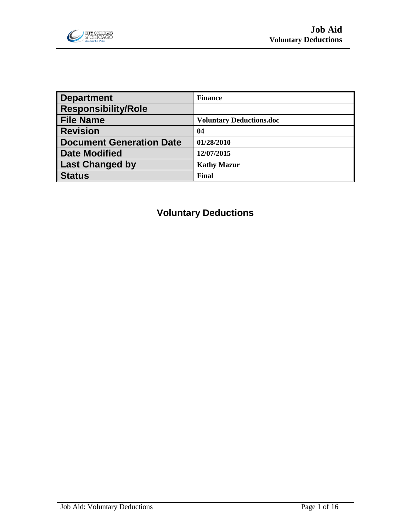

| <b>Department</b>               | <b>Finance</b>                  |
|---------------------------------|---------------------------------|
| <b>Responsibility/Role</b>      |                                 |
| <b>File Name</b>                | <b>Voluntary Deductions.doc</b> |
| <b>Revision</b>                 | 04                              |
| <b>Document Generation Date</b> | 01/28/2010                      |
| <b>Date Modified</b>            | 12/07/2015                      |
| <b>Last Changed by</b>          | <b>Kathy Mazur</b>              |
| <b>Status</b>                   | Final                           |

## **Voluntary Deductions**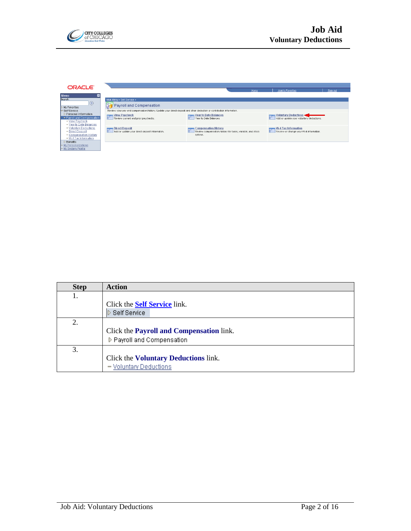

 $\sim$   $\sim$   $\sim$ 

| <b>JRALLE</b>                              |                                                                                                                       |                                                           |                                         |          |
|--------------------------------------------|-----------------------------------------------------------------------------------------------------------------------|-----------------------------------------------------------|-----------------------------------------|----------|
|                                            |                                                                                                                       | Home                                                      | Add to Favorites                        | Sign out |
| <b>Menu</b>                                |                                                                                                                       |                                                           |                                         |          |
| Search:                                    | Main Menu > Self Service >                                                                                            |                                                           |                                         |          |
| $\circ$<br>My Favorites                    | Payroll and Compensation                                                                                              |                                                           |                                         |          |
| Self Service                               | Review your pay and compensation history. Update your direct deposit and other deduction or contribution information. |                                                           |                                         |          |
| ▷ Personal Information                     | View Paycheck<br>Review current and prior paychecks.                                                                  | Year to Date Balances                                     | Voluntary Deductions                    |          |
| ▼ Payroll and Compensation                 |                                                                                                                       |                                                           |                                         |          |
| - View Paycheck<br>- Year to Date Balances |                                                                                                                       |                                                           |                                         |          |
| - Voluntary Deductions                     | <b>Direct Deposit</b>                                                                                                 | <b>Compensation History</b>                               | W-4 Tax Information                     |          |
| - Direct Deposit                           | Add or update your direct deposit information.                                                                        | Review compensation history for base, variable, and stock | Review or change your VV-4 information. |          |
| - Compensation History                     |                                                                                                                       | options.                                                  |                                         |          |
| $-$ W-4 Tax Information                    |                                                                                                                       |                                                           |                                         |          |
| Benefits                                   |                                                                                                                       |                                                           |                                         |          |
| - My Personalizations                      |                                                                                                                       |                                                           |                                         |          |
| - My System Profile                        |                                                                                                                       |                                                           |                                         |          |

| <b>Step</b> | <b>Action</b>                                   |  |  |  |  |  |
|-------------|-------------------------------------------------|--|--|--|--|--|
|             |                                                 |  |  |  |  |  |
|             | Click the <b>Self Service</b> link.             |  |  |  |  |  |
|             | D Self Service                                  |  |  |  |  |  |
| 2.          |                                                 |  |  |  |  |  |
|             | Click the <b>Payroll and Compensation</b> link. |  |  |  |  |  |
|             | ▷ Payroll and Compensation                      |  |  |  |  |  |
| 3.          |                                                 |  |  |  |  |  |
|             | Click the <b>Voluntary Deductions</b> link.     |  |  |  |  |  |
|             | - Voluntary Deductions                          |  |  |  |  |  |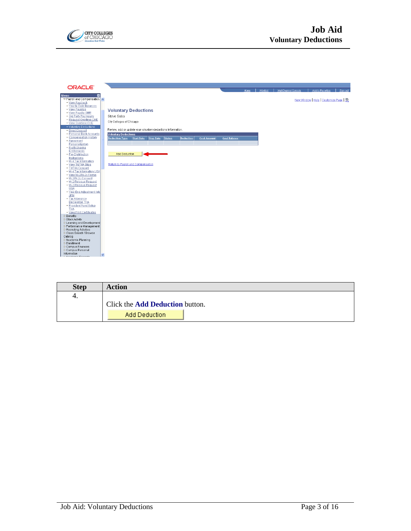

| <b>ORACLE</b>                                  |                             |                                    |                                                              |                  |                    |                     |      |          |                      |                                        |          |
|------------------------------------------------|-----------------------------|------------------------------------|--------------------------------------------------------------|------------------|--------------------|---------------------|------|----------|----------------------|----------------------------------------|----------|
|                                                |                             |                                    |                                                              |                  |                    |                     | Home | Worklist | MultiChannel Console | Add to Favorites                       | Sign out |
| Menu                                           |                             |                                    |                                                              |                  |                    |                     |      |          |                      |                                        |          |
| ▽ Payroll and Compensation<br>- View Paycheck  |                             |                                    |                                                              |                  |                    |                     |      |          |                      | New Window   Help   Customize Page   黑 |          |
| - Year to Date Balances                        |                             |                                    |                                                              |                  |                    |                     |      |          |                      |                                        |          |
| - View Payslips                                |                             |                                    |                                                              |                  |                    |                     |      |          |                      |                                        |          |
| - View Payslip GBR                             | <b>Voluntary Deductions</b> |                                    |                                                              |                  |                    |                     |      |          |                      |                                        |          |
| - 3rd Party Pay Inquiry                        | Steve Saba                  |                                    |                                                              |                  |                    |                     |      |          |                      |                                        |          |
| - Request Overtime CHE                         | City Colleges of Chicago    |                                    |                                                              |                  |                    |                     |      |          |                      |                                        |          |
| - View Overtime CHE                            |                             |                                    |                                                              |                  |                    |                     |      |          |                      |                                        |          |
| - Voluntary Deductions                         |                             |                                    | Review, add or update your voluntary deductions information. |                  |                    |                     |      |          |                      |                                        |          |
| - Direct Deposit<br>- Personal Bank Accounts   |                             |                                    |                                                              |                  |                    |                     |      |          |                      |                                        |          |
| - Compensation History                         | <b>Voluntary Deductions</b> |                                    |                                                              |                  |                    |                     |      |          |                      |                                        |          |
| - Agreement                                    | <b>Deduction Type</b>       | Start Date                         | Stop Date<br>Status                                          | <b>Deduction</b> | <b>Goal Amount</b> | <b>Goal Balance</b> |      |          |                      |                                        |          |
| Personalization                                |                             |                                    |                                                              |                  |                    |                     |      |          |                      |                                        |          |
| - Profit-Sharing                               |                             |                                    |                                                              |                  |                    |                     |      |          |                      |                                        |          |
| Entitlements                                   |                             |                                    |                                                              |                  |                    |                     |      |          |                      |                                        |          |
| - Pay Distribution                             | <b>Add Deduction</b>        |                                    |                                                              |                  |                    |                     |      |          |                      |                                        |          |
| Instructions<br>- W-4 Tax Information          |                             |                                    |                                                              |                  |                    |                     |      |          |                      |                                        |          |
| - View T4/T4A Slips                            |                             | Return to Payroll and Compensation |                                                              |                  |                    |                     |      |          |                      |                                        |          |
| - T4/T4A Consent                               |                             |                                    |                                                              |                  |                    |                     |      |          |                      |                                        |          |
| - W-4 Tax Information USA                      |                             |                                    |                                                              |                  |                    |                     |      |          |                      |                                        |          |
| - View W-2AV-2c Forms                          |                             |                                    |                                                              |                  |                    |                     |      |          |                      |                                        |          |
| - W-2AV-2c Consent                             |                             |                                    |                                                              |                  |                    |                     |      |          |                      |                                        |          |
| - W-2 Reissue Request                          |                             |                                    |                                                              |                  |                    |                     |      |          |                      |                                        |          |
| - W-2 Reissue Request<br><b>USA</b>            |                             |                                    |                                                              |                  |                    |                     |      |          |                      |                                        |          |
| - Year End Adjustment Info                     |                             |                                    |                                                              |                  |                    |                     |      |          |                      |                                        |          |
| <b>JPN</b>                                     |                             |                                    |                                                              |                  |                    |                     |      |          |                      |                                        |          |
| - Tax Allowance                                |                             |                                    |                                                              |                  |                    |                     |      |          |                      |                                        |          |
| Declaration THA                                |                             |                                    |                                                              |                  |                    |                     |      |          |                      |                                        |          |
| - Provident Fund Setup                         |                             |                                    |                                                              |                  |                    |                     |      |          |                      |                                        |          |
| THA                                            |                             |                                    |                                                              |                  |                    |                     |      |          |                      |                                        |          |
| - View/Print Certificates<br><b>D</b> Benefits |                             |                                    |                                                              |                  |                    |                     |      |          |                      |                                        |          |
| ▷ Stock Activity                               |                             |                                    |                                                              |                  |                    |                     |      |          |                      |                                        |          |
| <b>D</b> Learning and Development              |                             |                                    |                                                              |                  |                    |                     |      |          |                      |                                        |          |
| P Performance Management                       |                             |                                    |                                                              |                  |                    |                     |      |          |                      |                                        |          |
| <b>D</b> Recruiting Activities                 |                             |                                    |                                                              |                  |                    |                     |      |          |                      |                                        |          |
| D Class Search / Browse                        |                             |                                    |                                                              |                  |                    |                     |      |          |                      |                                        |          |
| Catalog<br>D Academic Planning                 |                             |                                    |                                                              |                  |                    |                     |      |          |                      |                                        |          |
| <b>D</b> Enrollment                            |                             |                                    |                                                              |                  |                    |                     |      |          |                      |                                        |          |
| <b>D</b> Campus Finances                       |                             |                                    |                                                              |                  |                    |                     |      |          |                      |                                        |          |
| Campus Personal                                |                             |                                    |                                                              |                  |                    |                     |      |          |                      |                                        |          |
| Information                                    | ×                           |                                    |                                                              |                  |                    |                     |      |          |                      |                                        |          |
| N. Boodemia Deservic                           |                             |                                    |                                                              |                  |                    |                     |      |          |                      |                                        |          |

| <b>Step</b> | <b>Action</b>                          |  |  |  |  |  |  |
|-------------|----------------------------------------|--|--|--|--|--|--|
| 4.          |                                        |  |  |  |  |  |  |
|             | Click the <b>Add Deduction</b> button. |  |  |  |  |  |  |
|             | Add Deduction                          |  |  |  |  |  |  |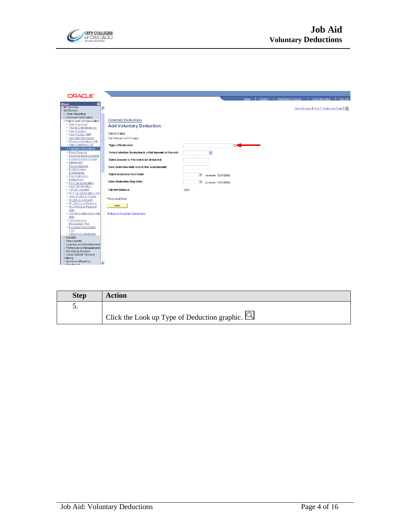

| <b>ORACLE</b>                                              |                     |                                                        |                                         |      |          |                      |                                        |          |
|------------------------------------------------------------|---------------------|--------------------------------------------------------|-----------------------------------------|------|----------|----------------------|----------------------------------------|----------|
|                                                            |                     |                                                        |                                         | Home | Worklist | MultiChannel Console | Add to Favorites                       | Sign out |
| Menu<br>My Favorites                                       |                     |                                                        |                                         |      |          |                      |                                        |          |
| Self Service                                               | $\hat{\phantom{a}}$ |                                                        |                                         |      |          |                      | New Window   Help   Customize Page   鼎 |          |
| ▷ Time Reporting                                           |                     |                                                        |                                         |      |          |                      |                                        |          |
| D Personal Information<br>Payroll and Compensation         |                     | <b>Voluntary Deductions</b>                            |                                         |      |          |                      |                                        |          |
| - View Paycheck                                            |                     | <b>Add Voluntary Deduction</b>                         |                                         |      |          |                      |                                        |          |
| - Year to Date Balances<br>- View Payslips                 |                     |                                                        |                                         |      |          |                      |                                        |          |
| - View Payslip GBR                                         |                     | Steve Saba                                             |                                         |      |          |                      |                                        |          |
| - 3rd Party Pay Inquiry                                    |                     | City Colleges of Chicago                               |                                         |      |          |                      |                                        |          |
| - Request Overtime CHE<br>- View Overtime CHE              |                     | "Type of Deduction:                                    |                                         |      |          |                      |                                        |          |
| - Voluntary Deductions                                     |                     |                                                        |                                         |      |          |                      |                                        |          |
| - Direct Deposit                                           |                     | 'Select whether Deduction is a Flat Amount or Percent: | $\checkmark$                            |      |          |                      |                                        |          |
| - Personal Bank Accounts<br>- Compensation History         |                     |                                                        |                                         |      |          |                      |                                        |          |
| - Agreement                                                |                     | 'Enter Amount or Percent to be deducted:               |                                         |      |          |                      |                                        |          |
| Personalization                                            |                     | Take deduction until I reach this Goal Amount:         |                                         |      |          |                      |                                        |          |
| - Profit-Sharing<br>Entitlements                           |                     |                                                        |                                         |      |          |                      |                                        |          |
| - Pay Distribution                                         |                     | 'Enter Deduction Start Date:                           | 31<br>(example: 12/31/2000)             |      |          |                      |                                        |          |
| Instructions<br>$-$ VV-4 Tax Information                   |                     | <b>Enter Deduction Stop Date:</b>                      | B <sub>1</sub><br>(example: 12/31/2000) |      |          |                      |                                        |          |
| - View T4/T4A Slips                                        |                     |                                                        |                                         |      |          |                      |                                        |          |
| - T4/T4A Consent<br>- W-4 Tax Information USA              |                     | <b>Current Balance:</b>                                | 0.00                                    |      |          |                      |                                        |          |
| - View VV-2AV-2c Forms                                     |                     |                                                        |                                         |      |          |                      |                                        |          |
| - W-2AV-2c Consent                                         |                     | * Required Field                                       |                                         |      |          |                      |                                        |          |
| - W-2 Reissue Request<br>- W-2 Reissue Request             |                     | Save                                                   |                                         |      |          |                      |                                        |          |
| <b>USA</b>                                                 |                     |                                                        |                                         |      |          |                      |                                        |          |
| - Year End Adjustment Info<br><b>JPN</b>                   |                     | <b>Return to Voluntary Deductions</b>                  |                                         |      |          |                      |                                        |          |
| - Tax Allowance                                            |                     |                                                        |                                         |      |          |                      |                                        |          |
| <b>Declaration THA</b>                                     |                     |                                                        |                                         |      |          |                      |                                        |          |
| - Provident Fund Setup<br>THA                              |                     |                                                        |                                         |      |          |                      |                                        |          |
| - View/Print Certificates                                  |                     |                                                        |                                         |      |          |                      |                                        |          |
| <b>D</b> Benefits<br>D Stock Activity                      |                     |                                                        |                                         |      |          |                      |                                        |          |
| D Learning and Development                                 |                     |                                                        |                                         |      |          |                      |                                        |          |
| D Performance Management<br><b>D</b> Recruiting Activities |                     |                                                        |                                         |      |          |                      |                                        |          |
| D Class Search / Browse                                    |                     |                                                        |                                         |      |          |                      |                                        |          |
| Catalog                                                    |                     |                                                        |                                         |      |          |                      |                                        |          |
| D Academic Planning<br>N Enrollmont                        | ×                   |                                                        |                                         |      |          |                      |                                        |          |
|                                                            |                     |                                                        |                                         |      |          |                      |                                        |          |

| <b>Step</b> | Action                                                    |
|-------------|-----------------------------------------------------------|
|             |                                                           |
|             | Click the Look up Type of Deduction graphic. $\mathbb{Q}$ |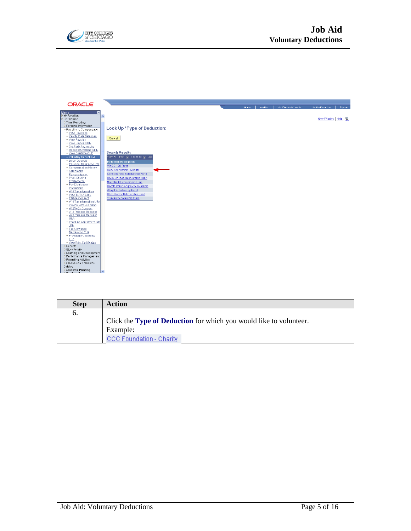

| ORACLE <sup>®</sup>                                 |                                        |      |          |                      |                              |
|-----------------------------------------------------|----------------------------------------|------|----------|----------------------|------------------------------|
|                                                     |                                        | Home | Worklist | MultiChannel Console | Sign out<br>Add to Favorites |
|                                                     |                                        |      |          |                      |                              |
| Menu<br>My Favorites                                |                                        |      |          |                      |                              |
| Self Service                                        | $\hat{\phantom{a}}$                    |      |          |                      | New Window   Help   風        |
| ▷ Time Reporting                                    |                                        |      |          |                      |                              |
| D Personal Information                              |                                        |      |          |                      |                              |
| Payroll and Compensation                            | <b>Look Up *Type of Deduction:</b>     |      |          |                      |                              |
| - View Paycheck                                     |                                        |      |          |                      |                              |
| - Year to Date Balances                             |                                        |      |          |                      |                              |
| - View Payslips                                     | Cancel                                 |      |          |                      |                              |
| - View Payslip GBR                                  |                                        |      |          |                      |                              |
| - 3rd Party Pay Inquiry                             |                                        |      |          |                      |                              |
| - Request Overtime CHE                              |                                        |      |          |                      |                              |
| - View Overtime CHE                                 | <b>Search Results</b>                  |      |          |                      |                              |
| - Voluntary Deductions                              | View All First [4] 1-18 of 18 [5] Last |      |          |                      |                              |
| - Direct Deposit                                    | <b>Deduction Description</b>           |      |          |                      |                              |
| - Personal Bank Accounts                            | WYCC - 20 Fund                         |      |          |                      |                              |
| - Compensation History                              | CCC Foundation - Charity               |      |          |                      |                              |
| - Agreement                                         | Kennedy King Scholarship Fund          |      |          |                      |                              |
| Personalization<br>- Profit-Sharing                 |                                        |      |          |                      |                              |
| Entitlements                                        | Daley College Scholarship Fund         |      |          |                      |                              |
| - Pay Distribution                                  | Malcolm X Scholarship Fund             |      |          |                      |                              |
| Instructions                                        | Harold Washiongton Scholarship         |      |          |                      |                              |
| - VV-4 Tax Information                              | Wright Scholarship Fund                |      |          |                      |                              |
| - View T4/T4A Slips                                 | Olive-Harvey Scholarship Fund          |      |          |                      |                              |
| - T4/T4A Consent                                    | <b>Truman Scholarship Fund</b>         |      |          |                      |                              |
| - W-4 Tax Information USA                           |                                        |      |          |                      |                              |
| - View W-2AV-2c Forms                               |                                        |      |          |                      |                              |
| - W-2AV-2c Consent                                  |                                        |      |          |                      |                              |
| - W-2 Reissue Request                               |                                        |      |          |                      |                              |
| - W-2 Reissue Request                               |                                        |      |          |                      |                              |
| <b>USA</b><br>- Year End Adjustment Info            |                                        |      |          |                      |                              |
| <b>JPN</b>                                          |                                        |      |          |                      |                              |
| - Tax Allowance                                     |                                        |      |          |                      |                              |
| <b>Declaration THA</b>                              |                                        |      |          |                      |                              |
| - Provident Fund Setup                              |                                        |      |          |                      |                              |
| <b>THA</b>                                          |                                        |      |          |                      |                              |
| - View/Print Certificates                           |                                        |      |          |                      |                              |
| <b>D</b> Benefits                                   |                                        |      |          |                      |                              |
| D Stock Activity                                    |                                        |      |          |                      |                              |
| D Learning and Development                          |                                        |      |          |                      |                              |
| D Performance Management<br>▷ Recruiting Activities |                                        |      |          |                      |                              |
| D Class Search / Browse                             |                                        |      |          |                      |                              |
| Catalog                                             |                                        |      |          |                      |                              |
| D Academic Planning                                 |                                        |      |          |                      |                              |
| N Enrollmont                                        | v.                                     |      |          |                      |                              |
|                                                     |                                        |      |          |                      |                              |

| <b>Step</b> | Action                                                                    |  |  |  |  |  |  |
|-------------|---------------------------------------------------------------------------|--|--|--|--|--|--|
| O.          |                                                                           |  |  |  |  |  |  |
|             | Click the <b>Type of Deduction</b> for which you would like to volunteer. |  |  |  |  |  |  |
|             | Example:                                                                  |  |  |  |  |  |  |
|             | CCC Foundation - Charity                                                  |  |  |  |  |  |  |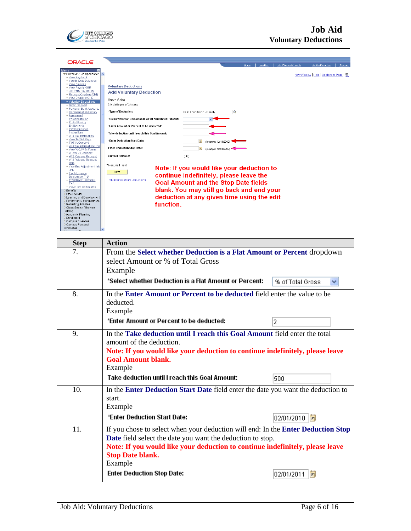

| <b>ORACLE</b>                                                                         |                                                        |                                             |                          |                                         |   |      |          |                      |                                          |          |
|---------------------------------------------------------------------------------------|--------------------------------------------------------|---------------------------------------------|--------------------------|-----------------------------------------|---|------|----------|----------------------|------------------------------------------|----------|
|                                                                                       |                                                        |                                             |                          |                                         |   | Home | Worklist | MultiChannel Console | Add to Favorites                         | Sign out |
| <b>Menu</b><br>Payroll and Compensation<br>- View Paycheck<br>- Year to Date Balances |                                                        |                                             |                          |                                         |   |      |          |                      | New Window   Help   Customize Page   [9] |          |
| - View Payslips<br>- View Payslip GBR<br>- 3rd Party Pay Inquiry                      | <b>Voluntary Deductions</b>                            |                                             |                          |                                         |   |      |          |                      |                                          |          |
| - Request Overtime CHE                                                                | <b>Add Voluntary Deduction</b>                         |                                             |                          |                                         |   |      |          |                      |                                          |          |
| - View Overtime CHE<br>- Voluntary Deductions                                         | Steve Saha                                             |                                             |                          |                                         |   |      |          |                      |                                          |          |
| - Direct Deposit<br>- Personal Bank Accounts                                          | City Colleges of Chicago                               |                                             |                          |                                         |   |      |          |                      |                                          |          |
| - Compensation History                                                                | 'Type of Deduction:                                    |                                             | CCC Foundation - Charity |                                         | Q |      |          |                      |                                          |          |
| - Agreement<br>Personalization                                                        | 'Select whether Deduction is a Flat Amount or Percent: |                                             |                          |                                         |   |      |          |                      |                                          |          |
| - Profit-Sharing<br>Entitlements                                                      | 'Enter Amount or Percent to be deducted:               |                                             |                          |                                         |   |      |          |                      |                                          |          |
| - Pay Distribution<br>Instructions                                                    |                                                        |                                             |                          |                                         |   |      |          |                      |                                          |          |
| $-W-4$ Tax Information                                                                | Take deduction until I reach this Goal Amount:         |                                             |                          |                                         |   |      |          |                      |                                          |          |
| - View T4/T4A Slips<br>- T4/T4A Consent                                               | 'Enter Deduction Start Date:                           |                                             |                          | 31<br>(example: 12/31/2000)             |   |      |          |                      |                                          |          |
| - W-4 Tax Information USA<br>- View VV-2AV-2c Forms                                   | <b>Enter Deduction Stop Date:</b>                      |                                             |                          | B <sub>1</sub><br>(example: 12/31/2000) |   |      |          |                      |                                          |          |
| - W-2/W-2c Consent<br>- W-2 Reissue Request                                           | <b>Current Balance:</b>                                |                                             | 0.00                     |                                         |   |      |          |                      |                                          |          |
| - W-2 Reissue Request<br><b>USA</b>                                                   |                                                        |                                             |                          |                                         |   |      |          |                      |                                          |          |
| - Year End Adjustment Info                                                            | * Required Field                                       | Note: If you would like your deduction to   |                          |                                         |   |      |          |                      |                                          |          |
| JPN<br>- Tax Allowance                                                                | Save                                                   | continue indefinitely, please leave the     |                          |                                         |   |      |          |                      |                                          |          |
| <b>Declaration THA</b><br>- Provident Fund Setup                                      | <b>Return to Voluntary Deductions</b>                  |                                             |                          |                                         |   |      |          |                      |                                          |          |
| THA<br>- View/Print Certificates                                                      |                                                        | <b>Goal Amount and the Stop Date fields</b> |                          |                                         |   |      |          |                      |                                          |          |
| <b>D</b> Benefits                                                                     |                                                        | blank. You may still go back and end your   |                          |                                         |   |      |          |                      |                                          |          |
| ▷ Stock Activity<br>D Learning and Development                                        |                                                        | deduction at any given time using the edit  |                          |                                         |   |      |          |                      |                                          |          |
| Performance Management                                                                |                                                        |                                             |                          |                                         |   |      |          |                      |                                          |          |
| <b>D</b> Recruiting Activities<br>▷ Class Search / Browse                             |                                                        | function.                                   |                          |                                         |   |      |          |                      |                                          |          |
| Catalog                                                                               |                                                        |                                             |                          |                                         |   |      |          |                      |                                          |          |
| D Academic Planning<br><b>D</b> Enrollment                                            |                                                        |                                             |                          |                                         |   |      |          |                      |                                          |          |
| D Campus Finances                                                                     |                                                        |                                             |                          |                                         |   |      |          |                      |                                          |          |
| Campus Personal                                                                       |                                                        |                                             |                          |                                         |   |      |          |                      |                                          |          |
| Information<br>The Association of the country                                         |                                                        |                                             |                          |                                         |   |      |          |                      |                                          |          |

| <b>Step</b> | <b>Action</b>                                                                                                                                                                                                                                                                                                     |                  |  |  |  |  |
|-------------|-------------------------------------------------------------------------------------------------------------------------------------------------------------------------------------------------------------------------------------------------------------------------------------------------------------------|------------------|--|--|--|--|
| 7.          | From the Select whether Deduction is a Flat Amount or Percent dropdown                                                                                                                                                                                                                                            |                  |  |  |  |  |
|             | select Amount or % of Total Gross                                                                                                                                                                                                                                                                                 |                  |  |  |  |  |
|             | Example                                                                                                                                                                                                                                                                                                           |                  |  |  |  |  |
|             | *Select whether Deduction is a Flat Amount or Percent:                                                                                                                                                                                                                                                            | % of Total Gross |  |  |  |  |
| 8.          | In the <b>Enter Amount or Percent to be deducted</b> field enter the value to be<br>deducted.<br>Example                                                                                                                                                                                                          |                  |  |  |  |  |
|             | *Enter Amount or Percent to be deducted:                                                                                                                                                                                                                                                                          | 2                |  |  |  |  |
| 9.          | In the Take deduction until I reach this Goal Amount field enter the total<br>amount of the deduction.<br>Note: If you would like your deduction to continue indefinitely, please leave<br><b>Goal Amount blank.</b><br>Example                                                                                   |                  |  |  |  |  |
|             | Take deduction until I reach this Goal Amount:                                                                                                                                                                                                                                                                    | 500              |  |  |  |  |
| 10.         | In the <b>Enter Deduction Start Date</b> field enter the date you want the deduction to<br>start.<br>Example<br>*Enter Deduction Start Date:                                                                                                                                                                      | 02/01/2010       |  |  |  |  |
| 11.         | If you chose to select when your deduction will end: In the Enter Deduction Stop<br><b>Date</b> field select the date you want the deduction to stop.<br>Note: If you would like your deduction to continue indefinitely, please leave<br><b>Stop Date blank.</b><br>Example<br><b>Enter Deduction Stop Date:</b> | 02/01/2011<br>B1 |  |  |  |  |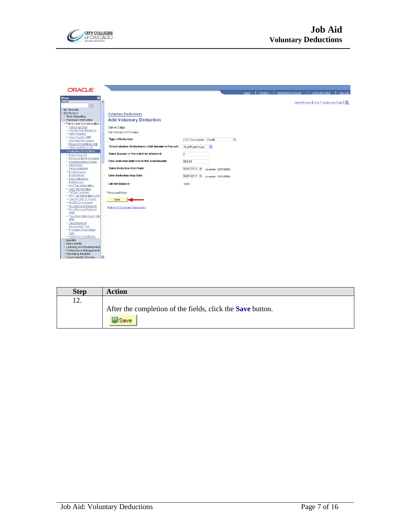

| <b>ORACLE</b>                                          |                                                        |                                        |      |          |                      |                                      |          |
|--------------------------------------------------------|--------------------------------------------------------|----------------------------------------|------|----------|----------------------|--------------------------------------|----------|
|                                                        |                                                        |                                        | Home | Worklist | MultiChannel Console | Add to Favorites                     | Sign out |
| Ξ<br>Menu<br>Search:                                   | $\overline{\phantom{a}}$                               |                                        |      |          |                      |                                      |          |
| $\circledR$                                            |                                                        |                                        |      |          |                      | New Window Help   Customize Page   風 |          |
| My Favorites                                           |                                                        |                                        |      |          |                      |                                      |          |
| Self Service                                           | <b>Voluntary Deductions</b>                            |                                        |      |          |                      |                                      |          |
| ▷ Time Reporting<br>D Personal Information             | <b>Add Voluntary Deduction</b>                         |                                        |      |          |                      |                                      |          |
| Payroll and Compensation                               |                                                        |                                        |      |          |                      |                                      |          |
| - View Paycheck                                        | Steve Saba                                             |                                        |      |          |                      |                                      |          |
| - Year to Date Balances<br>- View Payslips             | City Colleges of Chicago                               |                                        |      |          |                      |                                      |          |
| - View Payslip GBR                                     | "Type of Deduction:                                    | $\mathbf Q$                            |      |          |                      |                                      |          |
| - 3rd Party Pay Inquiry<br>- Request Overtime CHE      |                                                        | CCC Foundation - Charity               |      |          |                      |                                      |          |
| - View Overtime CHE                                    | 'Select whether Deduction is a Flat Amount or Percent: | % of Total Gross<br>$\checkmark$       |      |          |                      |                                      |          |
| - Voluntary Deductions                                 | 'Enter Amount or Percent to be deducted:               |                                        |      |          |                      |                                      |          |
| - Direct Deposit<br>- Personal Bank Accounts           |                                                        | $\vert$ <sub>2</sub>                   |      |          |                      |                                      |          |
| - Compensation History                                 | Take deduction until I reach this Goal Amount:         | 500.00                                 |      |          |                      |                                      |          |
| - Agreement                                            | 'Enter Deduction Start Date:                           |                                        |      |          |                      |                                      |          |
| Personalization<br>- Profit-Sharing                    |                                                        | 02/01/2010 回<br>(example: 12/31/2000)  |      |          |                      |                                      |          |
| Entitlements                                           | <b>Enter Deduction Stop Date:</b>                      | 02/01/2011 31<br>(example: 12/31/2000) |      |          |                      |                                      |          |
| - Pay Distribution<br>Instructions                     |                                                        |                                        |      |          |                      |                                      |          |
| - W-4 Tax Information                                  | <b>Current Balance:</b>                                | 0.00                                   |      |          |                      |                                      |          |
| - View T4/T4A Slips<br>- T4/T4A Consent                |                                                        |                                        |      |          |                      |                                      |          |
| - W-4 Tax Information USA                              | * Required Field                                       |                                        |      |          |                      |                                      |          |
| - View VV-2/W-2c Forms                                 | Save                                                   |                                        |      |          |                      |                                      |          |
| - W-2AV-2c Consent<br>- W-2 Reissue Request            |                                                        |                                        |      |          |                      |                                      |          |
| - W-2 Reissue Request                                  | <b>Return to Voluntary Deductions</b>                  |                                        |      |          |                      |                                      |          |
| <b>USA</b><br>- Year End Adjustment Info               |                                                        |                                        |      |          |                      |                                      |          |
| <b>JPN</b>                                             |                                                        |                                        |      |          |                      |                                      |          |
| - Tax Allowance<br><b>Declaration THA</b>              |                                                        |                                        |      |          |                      |                                      |          |
| - Provident Fund Setup                                 |                                                        |                                        |      |          |                      |                                      |          |
| THA                                                    |                                                        |                                        |      |          |                      |                                      |          |
| - View/Print Certificates<br>D Benefits                |                                                        |                                        |      |          |                      |                                      |          |
| ▷ Stock Activity                                       |                                                        |                                        |      |          |                      |                                      |          |
| D Learning and Development<br>D Performance Management |                                                        |                                        |      |          |                      |                                      |          |
| <b>D</b> Recruiting Activities                         |                                                        |                                        |      |          |                      |                                      |          |
| D Class Search / Browse                                | M                                                      |                                        |      |          |                      |                                      |          |

| <b>Step</b> | Action                                                            |
|-------------|-------------------------------------------------------------------|
| 14.         |                                                                   |
|             | After the completion of the fields, click the <b>Save</b> button. |
|             | 團Save                                                             |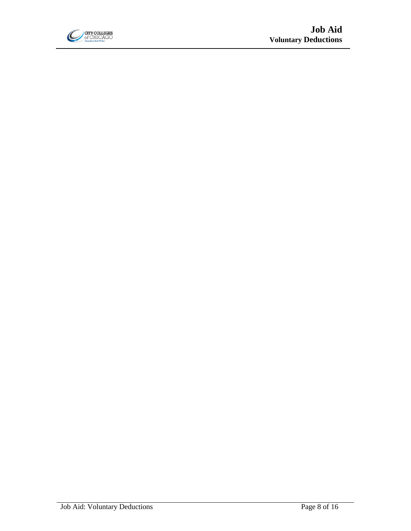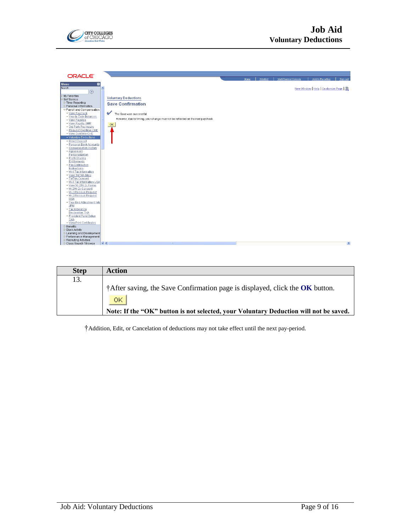

| <b>ORACLE</b>                                       |               |                                                                                |      |          |                      |                                        |          |
|-----------------------------------------------------|---------------|--------------------------------------------------------------------------------|------|----------|----------------------|----------------------------------------|----------|
|                                                     |               |                                                                                | Home | Worklist | MultiChannel Console | Add to Favorites                       | Sign out |
| Menu                                                |               |                                                                                |      |          |                      |                                        |          |
| Search:                                             |               |                                                                                |      |          |                      | New Window   Help   Customize Page   黑 |          |
| $\circledR$                                         |               |                                                                                |      |          |                      |                                        |          |
| My Favorites                                        |               | <b>Voluntary Deductions</b>                                                    |      |          |                      |                                        |          |
| Self Service<br>▷ Time Reporting                    |               |                                                                                |      |          |                      |                                        |          |
| Personal Information                                |               | <b>Save Confirmation</b>                                                       |      |          |                      |                                        |          |
| Payroll and Compensation                            |               |                                                                                |      |          |                      |                                        |          |
| - View Paycheck                                     |               | $\checkmark$<br>The Save was successful.                                       |      |          |                      |                                        |          |
| - Year to Date Balances                             |               | However, due to timing, your change may not be reflected on the next paycheck. |      |          |                      |                                        |          |
| - View Payslips<br>- View Payslip GBR               |               |                                                                                |      |          |                      |                                        |          |
| - 3rd Party Pay Inquiry                             |               | $\frac{OK}{4}$                                                                 |      |          |                      |                                        |          |
| - Request Overtime CHE                              |               |                                                                                |      |          |                      |                                        |          |
| - View Overtime CHE                                 |               |                                                                                |      |          |                      |                                        |          |
| - Voluntary Deductions                              |               |                                                                                |      |          |                      |                                        |          |
| - Direct Deposit                                    |               |                                                                                |      |          |                      |                                        |          |
| - Personal Bank Accounts<br>- Compensation History  |               |                                                                                |      |          |                      |                                        |          |
| - Agreement                                         |               |                                                                                |      |          |                      |                                        |          |
| Personalization                                     |               |                                                                                |      |          |                      |                                        |          |
| - Profit-Sharing                                    |               |                                                                                |      |          |                      |                                        |          |
| Entitlements<br>- Pay Distribution                  |               |                                                                                |      |          |                      |                                        |          |
| Instructions                                        |               |                                                                                |      |          |                      |                                        |          |
| - VV-4 Tax Information                              |               |                                                                                |      |          |                      |                                        |          |
| - View T4/T4A Slips                                 |               |                                                                                |      |          |                      |                                        |          |
| - T4/T4A Consent<br>- W-4 Tax Information USA       |               |                                                                                |      |          |                      |                                        |          |
| - View W-2/W-2c Forms                               |               |                                                                                |      |          |                      |                                        |          |
| - W-2AV-2c Consent                                  |               |                                                                                |      |          |                      |                                        |          |
| - W-2 Reissue Request                               |               |                                                                                |      |          |                      |                                        |          |
| - W-2 Reissue Request                               |               |                                                                                |      |          |                      |                                        |          |
| <b>USA</b><br>- Year End Adjustment Info            |               |                                                                                |      |          |                      |                                        |          |
| <b>JPN</b>                                          |               |                                                                                |      |          |                      |                                        |          |
| $=$ Tax Allowance                                   |               |                                                                                |      |          |                      |                                        |          |
| <b>Declaration THA</b>                              |               |                                                                                |      |          |                      |                                        |          |
| - Provident Fund Setup<br>THA                       |               |                                                                                |      |          |                      |                                        |          |
| - View/Print Certificates                           |               |                                                                                |      |          |                      |                                        |          |
| <b>D</b> Benefits                                   |               |                                                                                |      |          |                      |                                        |          |
| D Stock Activity                                    |               |                                                                                |      |          |                      |                                        |          |
| D Learning and Development                          |               |                                                                                |      |          |                      |                                        |          |
| D Performance Management<br>▷ Recruiting Activities |               |                                                                                |      |          |                      |                                        |          |
| N. Olong Poemb / Regues                             | $\frac{1}{2}$ |                                                                                |      |          |                      |                                        |          |

| <b>Step</b> | Action                                                                                     |
|-------------|--------------------------------------------------------------------------------------------|
| 13.         |                                                                                            |
|             | † After saving, the Save Confirmation page is displayed, click the $\overline{OK}$ button. |
|             | ОK                                                                                         |
|             | Note: If the "OK" button is not selected, your Voluntary Deduction will not be saved.      |

†Addition, Edit, or Cancelation of deductions may not take effect until the next pay-period.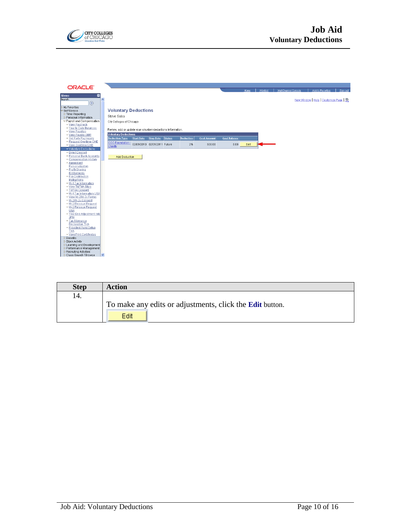

| <b>ORACLE</b>                              |                   |                             |            |                                                              |                  |                    |                     |      |          |                      |                                        |          |
|--------------------------------------------|-------------------|-----------------------------|------------|--------------------------------------------------------------|------------------|--------------------|---------------------|------|----------|----------------------|----------------------------------------|----------|
|                                            |                   |                             |            |                                                              |                  |                    |                     | Home | Worklist | MultiChannel Console | Add to Favorites                       | Sign out |
|                                            |                   |                             |            |                                                              |                  |                    |                     |      |          |                      |                                        |          |
| Menu<br>Ξ                                  |                   |                             |            |                                                              |                  |                    |                     |      |          |                      |                                        |          |
| Search:                                    | $\mathbf{\hat{}}$ |                             |            |                                                              |                  |                    |                     |      |          |                      | New Window   Help   Customize Page   風 |          |
| $\circledR$                                |                   |                             |            |                                                              |                  |                    |                     |      |          |                      |                                        |          |
| My Favorites                               |                   |                             |            |                                                              |                  |                    |                     |      |          |                      |                                        |          |
| Self Service                               |                   | <b>Voluntary Deductions</b> |            |                                                              |                  |                    |                     |      |          |                      |                                        |          |
| D Time Reporting                           |                   | Steve Saba                  |            |                                                              |                  |                    |                     |      |          |                      |                                        |          |
| D Personal Information                     |                   |                             |            |                                                              |                  |                    |                     |      |          |                      |                                        |          |
| Payroll and Compensation                   |                   | City Colleges of Chicago    |            |                                                              |                  |                    |                     |      |          |                      |                                        |          |
| - View Paycheck                            |                   |                             |            |                                                              |                  |                    |                     |      |          |                      |                                        |          |
| - Year to Date Balances<br>- View Payslips |                   |                             |            | Review, add or update your voluntary deductions information. |                  |                    |                     |      |          |                      |                                        |          |
| - View Payslip GBR                         |                   | <b>Voluntary Deductions</b> |            |                                                              |                  |                    |                     |      |          |                      |                                        |          |
| - 3rd Party Pay Inquiry                    |                   | <b>Deduction Type</b>       | Start Date | Stop Date Status                                             | <b>Deduction</b> | <b>Goal Amount</b> | <b>Goal Balance</b> |      |          |                      |                                        |          |
| - Request Overtime CHE                     |                   |                             |            |                                                              |                  |                    |                     |      |          |                      |                                        |          |
| - View Overtime CHE                        |                   | CCC Foundation -            |            | 02/01/2010 02/01/2011 Future                                 | 2%               | 500.00             | 0.00                | Edit |          |                      |                                        |          |
| - Voluntary Deductions                     | Charity           |                             |            |                                                              |                  |                    |                     |      |          |                      |                                        |          |
| - Direct Deposit                           |                   |                             |            |                                                              |                  |                    |                     |      |          |                      |                                        |          |
| - Personal Bank Accounts                   |                   | <b>Add Deduction</b>        |            |                                                              |                  |                    |                     |      |          |                      |                                        |          |
| - Compensation History                     |                   |                             |            |                                                              |                  |                    |                     |      |          |                      |                                        |          |
| - Agreement                                |                   |                             |            |                                                              |                  |                    |                     |      |          |                      |                                        |          |
| Personalization                            |                   |                             |            |                                                              |                  |                    |                     |      |          |                      |                                        |          |
| - Profit-Sharing                           |                   |                             |            |                                                              |                  |                    |                     |      |          |                      |                                        |          |
| Entitlements                               |                   |                             |            |                                                              |                  |                    |                     |      |          |                      |                                        |          |
| - Pay Distribution                         |                   |                             |            |                                                              |                  |                    |                     |      |          |                      |                                        |          |
| Instructions                               |                   |                             |            |                                                              |                  |                    |                     |      |          |                      |                                        |          |
| - W-4 Tax Information                      |                   |                             |            |                                                              |                  |                    |                     |      |          |                      |                                        |          |
| - View T4/T4A Slips<br>- T4/T4A Consent    |                   |                             |            |                                                              |                  |                    |                     |      |          |                      |                                        |          |
| - W-4 Tax Information USA                  |                   |                             |            |                                                              |                  |                    |                     |      |          |                      |                                        |          |
| - View W-2/W-2c Forms                      |                   |                             |            |                                                              |                  |                    |                     |      |          |                      |                                        |          |
| - W-2AV-2c Consent                         |                   |                             |            |                                                              |                  |                    |                     |      |          |                      |                                        |          |
| - W-2 Reissue Request                      |                   |                             |            |                                                              |                  |                    |                     |      |          |                      |                                        |          |
| - W-2 Reissue Request                      |                   |                             |            |                                                              |                  |                    |                     |      |          |                      |                                        |          |
| <b>USA</b>                                 |                   |                             |            |                                                              |                  |                    |                     |      |          |                      |                                        |          |
| - Year End Adjustment Info                 |                   |                             |            |                                                              |                  |                    |                     |      |          |                      |                                        |          |
| <b>JPN</b>                                 |                   |                             |            |                                                              |                  |                    |                     |      |          |                      |                                        |          |
| - Tax Allowance                            |                   |                             |            |                                                              |                  |                    |                     |      |          |                      |                                        |          |
| <b>Declaration THA</b>                     |                   |                             |            |                                                              |                  |                    |                     |      |          |                      |                                        |          |
| - Provident Fund Setup                     |                   |                             |            |                                                              |                  |                    |                     |      |          |                      |                                        |          |
| <b>THA</b>                                 |                   |                             |            |                                                              |                  |                    |                     |      |          |                      |                                        |          |
| - View/Print Certificates                  |                   |                             |            |                                                              |                  |                    |                     |      |          |                      |                                        |          |
| <b>D</b> Benefits<br>D Stock Activity      |                   |                             |            |                                                              |                  |                    |                     |      |          |                      |                                        |          |
| <b>D</b> Learning and Development          |                   |                             |            |                                                              |                  |                    |                     |      |          |                      |                                        |          |
| D Performance Management                   |                   |                             |            |                                                              |                  |                    |                     |      |          |                      |                                        |          |
| ▷ Recruiting Activities                    |                   |                             |            |                                                              |                  |                    |                     |      |          |                      |                                        |          |
| D Class Search / Browse                    | ×.                |                             |            |                                                              |                  |                    |                     |      |          |                      |                                        |          |
|                                            |                   |                             |            |                                                              |                  |                    |                     |      |          |                      |                                        |          |

| <b>Step</b> | <b>Action</b>                                                   |
|-------------|-----------------------------------------------------------------|
| 14.         |                                                                 |
|             | To make any edits or adjustments, click the <b>Edit</b> button. |
|             | Edit                                                            |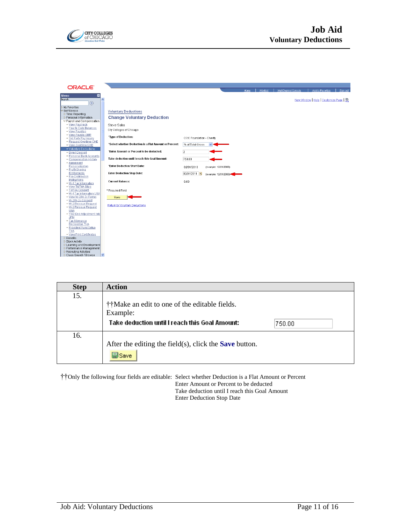

| ORACLE <sup>®</sup>                                    |                          |                                                        |                          |                       |      |          |                      |                                    |          |
|--------------------------------------------------------|--------------------------|--------------------------------------------------------|--------------------------|-----------------------|------|----------|----------------------|------------------------------------|----------|
|                                                        |                          |                                                        |                          |                       | Home | Worklist | MultiChannel Console | Add to Favorites                   | Sign out |
| Menu<br>Ξ                                              |                          |                                                        |                          |                       |      |          |                      |                                    |          |
| Search:                                                | $\overline{\phantom{0}}$ |                                                        |                          |                       |      |          |                      | New Window Help Customize Page   鼎 |          |
| $\circledcirc$                                         |                          |                                                        |                          |                       |      |          |                      |                                    |          |
| My Favorites<br>Self Service                           |                          |                                                        |                          |                       |      |          |                      |                                    |          |
| ▷ Time Reporting                                       |                          | <b>Voluntary Deductions</b>                            |                          |                       |      |          |                      |                                    |          |
| D Personal Information                                 |                          | <b>Change Voluntary Deduction</b>                      |                          |                       |      |          |                      |                                    |          |
| ▽ Payroll and Compensation                             |                          |                                                        |                          |                       |      |          |                      |                                    |          |
| - View Paycheck<br>- Year to Date Balances             |                          | Steve Saba                                             |                          |                       |      |          |                      |                                    |          |
| - View Payslips                                        |                          | City Colleges of Chicago                               |                          |                       |      |          |                      |                                    |          |
| - View Payslip GBR                                     |                          | 'Type of Deduction:                                    |                          |                       |      |          |                      |                                    |          |
| - 3rd Party Pay Inquiry<br>- Request Overtime CHE      |                          |                                                        | CCC Foundation - Charity |                       |      |          |                      |                                    |          |
| - View Overtime CHE                                    |                          | 'Select whether Deduction is a Flat Amount or Percent: | % of Total Gross         |                       |      |          |                      |                                    |          |
| - Voluntary Deductions                                 |                          |                                                        |                          |                       |      |          |                      |                                    |          |
| - Direct Deposit                                       |                          | 'Enter Amount or Percent to be deducted:               | $\overline{2}$           |                       |      |          |                      |                                    |          |
| - Personal Bank Accounts<br>- Compensation History     |                          | Take deduction until I reach this Goal Amount:         | 750.00                   |                       |      |          |                      |                                    |          |
| - Agreement                                            |                          |                                                        |                          |                       |      |          |                      |                                    |          |
| Personalization                                        |                          | 'Enter Deduction Start Date:                           | 02/01/2010               | (example: 12/31/2000) |      |          |                      |                                    |          |
| - Profit-Sharing                                       |                          |                                                        |                          |                       |      |          |                      |                                    |          |
| Entitlements<br>- Pay Distribution                     |                          | <b>Enter Deduction Stop Date:</b>                      | 02/01/2011               | (example: 12/31/2000) |      |          |                      |                                    |          |
| Instructions                                           |                          | <b>Current Balance:</b>                                | 0.00                     |                       |      |          |                      |                                    |          |
| - W-4 Tax Information                                  |                          |                                                        |                          |                       |      |          |                      |                                    |          |
| - View T4/T4A Slips<br>- T4/T4A Consent                |                          | * Required Field                                       |                          |                       |      |          |                      |                                    |          |
| - W-4 Tax Information USA                              |                          |                                                        |                          |                       |      |          |                      |                                    |          |
| - View W-2/W-2c Forms                                  |                          | Save                                                   |                          |                       |      |          |                      |                                    |          |
| - W-2AV-2c Consent<br>- W-2 Reissue Request            |                          |                                                        |                          |                       |      |          |                      |                                    |          |
| - W-2 Reissue Request                                  |                          | <b>Return to Voluntary Deductions</b>                  |                          |                       |      |          |                      |                                    |          |
| <b>USA</b>                                             |                          |                                                        |                          |                       |      |          |                      |                                    |          |
| - Year End Adjustment Info<br><b>JPN</b>               |                          |                                                        |                          |                       |      |          |                      |                                    |          |
| - Tax Allowance                                        |                          |                                                        |                          |                       |      |          |                      |                                    |          |
| <b>Declaration THA</b>                                 |                          |                                                        |                          |                       |      |          |                      |                                    |          |
| - Provident Fund Setup<br>THA                          |                          |                                                        |                          |                       |      |          |                      |                                    |          |
| - View/Print Certificates                              |                          |                                                        |                          |                       |      |          |                      |                                    |          |
| <b>D</b> Benefits                                      |                          |                                                        |                          |                       |      |          |                      |                                    |          |
| D Stock Activity                                       |                          |                                                        |                          |                       |      |          |                      |                                    |          |
| D Learning and Development<br>D Performance Management |                          |                                                        |                          |                       |      |          |                      |                                    |          |
| D Recruiting Activities                                |                          |                                                        |                          |                       |      |          |                      |                                    |          |
| D Class Search / Browse                                | ÷.                       |                                                        |                          |                       |      |          |                      |                                    |          |

| <b>Step</b> | <b>Action</b>                                                                                                            |
|-------------|--------------------------------------------------------------------------------------------------------------------------|
| 15.         | <b>THE</b> Trimarks an edit to one of the editable fields.<br>Example:<br>Take deduction until I reach this Goal Amount: |
| 16.         | 750.00<br>After the editing the field(s), click the <b>Save</b> button.<br><b>In Save</b>                                |

††Only the following four fields are editable: Select whether Deduction is a Flat Amount or Percent

Enter Amount or Percent to be deducted

Take deduction until I reach this Goal Amount Enter Deduction Stop Date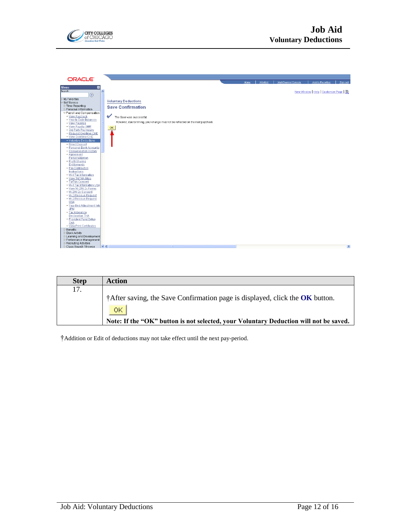

| ORACLE <sup>®</sup>                                                       |                          |                                                                                      |      |          |                      |                                        |          |
|---------------------------------------------------------------------------|--------------------------|--------------------------------------------------------------------------------------|------|----------|----------------------|----------------------------------------|----------|
|                                                                           |                          |                                                                                      | Home | Worklist | MultiChannel Console | Add to Favorites                       | Sign out |
| Menu<br>Ξ<br>Search:<br>$\circledR$                                       | $\overline{\phantom{a}}$ |                                                                                      |      |          |                      | New Window   Help   Customize Page   鼎 |          |
| My Favorites<br>Self Service                                              |                          | <b>Voluntary Deductions</b>                                                          |      |          |                      |                                        |          |
| ▷ Time Reporting<br>D Personal Information<br>Payroll and Compensation    |                          | <b>Save Confirmation</b>                                                             |      |          |                      |                                        |          |
| - View Paycheck<br>- Year to Date Balances                                |                          | $\checkmark$<br>The Save was successful.                                             |      |          |                      |                                        |          |
| - View Payslips<br>- View Payslip GBR                                     |                          | However, due to timing, your change may not be reflected on the next paycheck.<br>0K |      |          |                      |                                        |          |
| - 3rd Party Pay Inquiry<br>- Request Overtime CHE<br>- View Overtime CHE  |                          |                                                                                      |      |          |                      |                                        |          |
| - Voluntary Deductions<br>- Direct Deposit                                |                          |                                                                                      |      |          |                      |                                        |          |
| - Personal Bank Accounts<br>- Compensation History                        |                          |                                                                                      |      |          |                      |                                        |          |
| - Agreement<br>Personalization                                            |                          |                                                                                      |      |          |                      |                                        |          |
| - Profit-Sharing<br>Entitlements<br>- Pay Distribution                    |                          |                                                                                      |      |          |                      |                                        |          |
| Instructions<br>- W-4 Tax Information                                     |                          |                                                                                      |      |          |                      |                                        |          |
| - View T4/T4A Slips<br>$-$ T4/T4A Consent                                 |                          |                                                                                      |      |          |                      |                                        |          |
| - W-4 Tax Information USA<br>- View VV-2/W-2c Forms<br>- W-2AV-2c Consent |                          |                                                                                      |      |          |                      |                                        |          |
| - W-2 Reissue Request<br>- W-2 Reissue Request                            |                          |                                                                                      |      |          |                      |                                        |          |
| <b>USA</b><br>- Year End Adjustment Info                                  |                          |                                                                                      |      |          |                      |                                        |          |
| <b>JPN</b><br>- Tax Allowance<br><b>Declaration THA</b>                   |                          |                                                                                      |      |          |                      |                                        |          |
| - Provident Fund Setup<br><b>THA</b>                                      |                          |                                                                                      |      |          |                      |                                        |          |
| - View/Print Certificates<br>D Benefits                                   |                          |                                                                                      |      |          |                      |                                        |          |
| D Stock Activity<br>D Learning and Development                            |                          |                                                                                      |      |          |                      |                                        |          |
| D Performance Management                                                  |                          |                                                                                      |      |          |                      |                                        |          |
| ▷ Recruiting Activities<br>D Class Search / Browse                        | $\vee$ <                 | <b>III</b>                                                                           |      |          |                      |                                        | $\,$     |

| <b>Step</b> | Action                                                                                |
|-------------|---------------------------------------------------------------------------------------|
| 17.         |                                                                                       |
|             | †After saving, the Save Confirmation page is displayed, click the OK button.          |
|             | ок                                                                                    |
|             | Note: If the "OK" button is not selected, your Voluntary Deduction will not be saved. |

†Addition or Edit of deductions may not take effect until the next pay-period.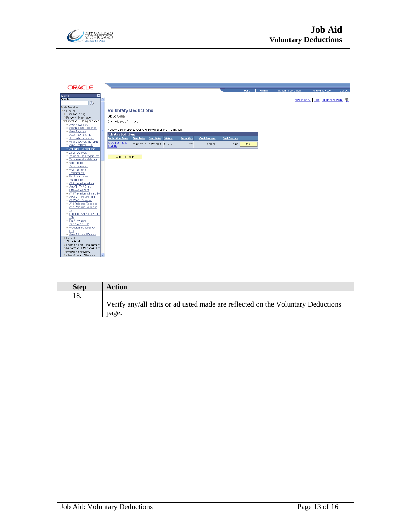

| <b>ORACLE</b>                                          |                     |                             |            |                                                              |                  |                    |                     |      |          |                      |                                        |          |
|--------------------------------------------------------|---------------------|-----------------------------|------------|--------------------------------------------------------------|------------------|--------------------|---------------------|------|----------|----------------------|----------------------------------------|----------|
|                                                        |                     |                             |            |                                                              |                  |                    |                     | Home | Worklist | MultiChannel Console | Add to Favorites                       | Sign out |
| Menu<br>٥                                              |                     |                             |            |                                                              |                  |                    |                     |      |          |                      |                                        |          |
| Search:                                                | $\hat{\phantom{a}}$ |                             |            |                                                              |                  |                    |                     |      |          |                      |                                        |          |
| $\circledR$                                            |                     |                             |            |                                                              |                  |                    |                     |      |          |                      | New Window   Help   Customize Page   鼎 |          |
|                                                        |                     |                             |            |                                                              |                  |                    |                     |      |          |                      |                                        |          |
| My Favorites                                           |                     |                             |            |                                                              |                  |                    |                     |      |          |                      |                                        |          |
| Self Service                                           |                     | <b>Voluntary Deductions</b> |            |                                                              |                  |                    |                     |      |          |                      |                                        |          |
| ▷ Time Reporting<br>Personal Information               |                     | Steve Saba                  |            |                                                              |                  |                    |                     |      |          |                      |                                        |          |
| Payroll and Compensation                               |                     |                             |            |                                                              |                  |                    |                     |      |          |                      |                                        |          |
| - View Paycheck                                        |                     | City Colleges of Chicago    |            |                                                              |                  |                    |                     |      |          |                      |                                        |          |
| - Year to Date Balances                                |                     |                             |            |                                                              |                  |                    |                     |      |          |                      |                                        |          |
| - View Payslips                                        |                     |                             |            | Review, add or update your voluntary deductions information. |                  |                    |                     |      |          |                      |                                        |          |
| - View Payslip GBR                                     |                     | <b>Voluntary Deductions</b> |            |                                                              |                  |                    |                     |      |          |                      |                                        |          |
| - 3rd Party Pay Inquiry                                |                     | <b>Deduction Type</b>       | Start Date | Stop Date Status                                             | <b>Deduction</b> | <b>Goal Amount</b> | <b>Goal Balance</b> |      |          |                      |                                        |          |
| - Request Overtime CHE                                 |                     | CCC Foundation -            |            |                                                              |                  |                    |                     |      |          |                      |                                        |          |
| - View Overtime CHE                                    |                     | Charity                     |            | 02/01/2010 02/01/2011 Future                                 | 2%               | 750.00             | 0.00.               | Edit |          |                      |                                        |          |
| - Voluntary Deductions                                 |                     |                             |            |                                                              |                  |                    |                     |      |          |                      |                                        |          |
| - Direct Deposit                                       |                     |                             |            |                                                              |                  |                    |                     |      |          |                      |                                        |          |
| - Personal Bank Accounts                               |                     | <b>Add Deduction</b>        |            |                                                              |                  |                    |                     |      |          |                      |                                        |          |
| - Compensation History                                 |                     |                             |            |                                                              |                  |                    |                     |      |          |                      |                                        |          |
| - Agreement                                            |                     |                             |            |                                                              |                  |                    |                     |      |          |                      |                                        |          |
| Personalization<br>- Profit-Sharing                    |                     |                             |            |                                                              |                  |                    |                     |      |          |                      |                                        |          |
| Entitlements                                           |                     |                             |            |                                                              |                  |                    |                     |      |          |                      |                                        |          |
| - Pay Distribution                                     |                     |                             |            |                                                              |                  |                    |                     |      |          |                      |                                        |          |
| Instructions                                           |                     |                             |            |                                                              |                  |                    |                     |      |          |                      |                                        |          |
| - W-4 Tax Information                                  |                     |                             |            |                                                              |                  |                    |                     |      |          |                      |                                        |          |
| - View T4/T4A Slips                                    |                     |                             |            |                                                              |                  |                    |                     |      |          |                      |                                        |          |
| - T4/T4A Consent                                       |                     |                             |            |                                                              |                  |                    |                     |      |          |                      |                                        |          |
| - W-4 Tax Information USA                              |                     |                             |            |                                                              |                  |                    |                     |      |          |                      |                                        |          |
| - View W-2AN-2c Forms                                  |                     |                             |            |                                                              |                  |                    |                     |      |          |                      |                                        |          |
| - W-2AV-2c Consent                                     |                     |                             |            |                                                              |                  |                    |                     |      |          |                      |                                        |          |
| - W-2 Reissue Request                                  |                     |                             |            |                                                              |                  |                    |                     |      |          |                      |                                        |          |
| - W-2 Reissue Request<br><b>USA</b>                    |                     |                             |            |                                                              |                  |                    |                     |      |          |                      |                                        |          |
| - Year End Adjustment Info                             |                     |                             |            |                                                              |                  |                    |                     |      |          |                      |                                        |          |
| <b>JPN</b>                                             |                     |                             |            |                                                              |                  |                    |                     |      |          |                      |                                        |          |
| - Tax Allowance                                        |                     |                             |            |                                                              |                  |                    |                     |      |          |                      |                                        |          |
| <b>Declaration THA</b>                                 |                     |                             |            |                                                              |                  |                    |                     |      |          |                      |                                        |          |
| - Provident Fund Setup                                 |                     |                             |            |                                                              |                  |                    |                     |      |          |                      |                                        |          |
| <b>THA</b>                                             |                     |                             |            |                                                              |                  |                    |                     |      |          |                      |                                        |          |
| - View/Print Certificates                              |                     |                             |            |                                                              |                  |                    |                     |      |          |                      |                                        |          |
| <b>D</b> Benefits                                      |                     |                             |            |                                                              |                  |                    |                     |      |          |                      |                                        |          |
| ▷ Stock Activity                                       |                     |                             |            |                                                              |                  |                    |                     |      |          |                      |                                        |          |
| D Learning and Development<br>D Performance Management |                     |                             |            |                                                              |                  |                    |                     |      |          |                      |                                        |          |
| ▷ Recruiting Activities                                |                     |                             |            |                                                              |                  |                    |                     |      |          |                      |                                        |          |
| D Class Search / Browse                                | ×                   |                             |            |                                                              |                  |                    |                     |      |          |                      |                                        |          |
|                                                        |                     |                             |            |                                                              |                  |                    |                     |      |          |                      |                                        |          |

| <b>Step</b> | <b>Action</b>                                                                   |
|-------------|---------------------------------------------------------------------------------|
|             |                                                                                 |
|             | Verify any/all edits or adjusted made are reflected on the Voluntary Deductions |
|             | page.                                                                           |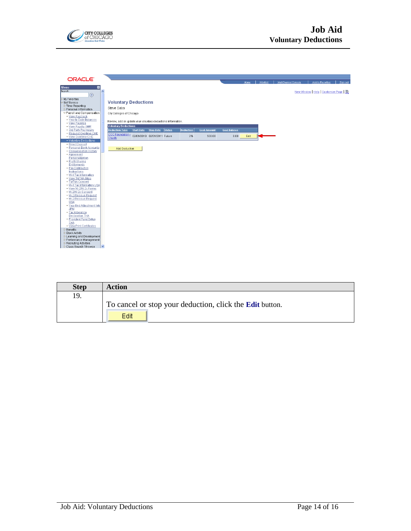

| <b>ORACLE</b>                                          |                                                                                             |                   |                  |               |           |                    |                     |      |          |                      |                                        |          |
|--------------------------------------------------------|---------------------------------------------------------------------------------------------|-------------------|------------------|---------------|-----------|--------------------|---------------------|------|----------|----------------------|----------------------------------------|----------|
|                                                        |                                                                                             |                   |                  |               |           |                    |                     | Home | Worklist | MultiChannel Console | Add to Favorites                       | Sign out |
| Menu<br>E<br>Search:<br>$\hat{\phantom{a}}$            |                                                                                             |                   |                  |               |           |                    |                     |      |          |                      |                                        |          |
| $\circledR$                                            |                                                                                             |                   |                  |               |           |                    |                     |      |          |                      | New Window   Help   Customize Page   鼎 |          |
| My Favorites                                           |                                                                                             |                   |                  |               |           |                    |                     |      |          |                      |                                        |          |
| Self Service<br>▷ Time Reporting                       | <b>Voluntary Deductions</b>                                                                 |                   |                  |               |           |                    |                     |      |          |                      |                                        |          |
| D Personal Information                                 | Steve Saba                                                                                  |                   |                  |               |           |                    |                     |      |          |                      |                                        |          |
| Payroll and Compensation<br>- View Paycheck            | City Colleges of Chicago                                                                    |                   |                  |               |           |                    |                     |      |          |                      |                                        |          |
| - Year to Date Balances                                |                                                                                             |                   |                  |               |           |                    |                     |      |          |                      |                                        |          |
| - View Payslips                                        | Review, add or update your voluntary deductions information.<br><b>Voluntary Deductions</b> |                   |                  |               |           |                    |                     |      |          |                      |                                        |          |
| - View Payslip GBR<br>- 3rd Party Pay Inquiry          | <b>Deduction Type</b>                                                                       | <b>Start Date</b> | <b>Stop Date</b> | <b>Status</b> | Deduction | <b>Goal Amount</b> | <b>Goal Balance</b> |      |          |                      |                                        |          |
| - Request Overtime CHE                                 | CCC Foundation - 02/01/2010 02/01/2011 Future                                               |                   |                  |               |           |                    |                     |      |          |                      |                                        |          |
| - View Overtime CHE<br>- Voluntary Deductions          | Charity                                                                                     |                   |                  |               | 2%        | 500.00             | 0.00                | Edit |          |                      |                                        |          |
| - Direct Deposit                                       |                                                                                             |                   |                  |               |           |                    |                     |      |          |                      |                                        |          |
| - Personal Bank Accounts                               | <b>Add Deduction</b>                                                                        |                   |                  |               |           |                    |                     |      |          |                      |                                        |          |
| - Compensation History<br>- Agreement                  |                                                                                             |                   |                  |               |           |                    |                     |      |          |                      |                                        |          |
| Personalization                                        |                                                                                             |                   |                  |               |           |                    |                     |      |          |                      |                                        |          |
| - Profit-Sharing<br>Entitlements                       |                                                                                             |                   |                  |               |           |                    |                     |      |          |                      |                                        |          |
| - Pay Distribution                                     |                                                                                             |                   |                  |               |           |                    |                     |      |          |                      |                                        |          |
| Instructions<br>- W-4 Tax Information                  |                                                                                             |                   |                  |               |           |                    |                     |      |          |                      |                                        |          |
| - View T4/T4A Slips                                    |                                                                                             |                   |                  |               |           |                    |                     |      |          |                      |                                        |          |
| - T4/T4A Consent<br>- W-4 Tax Information USA          |                                                                                             |                   |                  |               |           |                    |                     |      |          |                      |                                        |          |
| - View W-2/W-2c Forms                                  |                                                                                             |                   |                  |               |           |                    |                     |      |          |                      |                                        |          |
| - W-2AV-2c Consent<br>- W-2 Reissue Request            |                                                                                             |                   |                  |               |           |                    |                     |      |          |                      |                                        |          |
| -W-2 Reissue Request                                   |                                                                                             |                   |                  |               |           |                    |                     |      |          |                      |                                        |          |
| <b>USA</b><br>- Year End Adjustment Info               |                                                                                             |                   |                  |               |           |                    |                     |      |          |                      |                                        |          |
| <b>JPN</b>                                             |                                                                                             |                   |                  |               |           |                    |                     |      |          |                      |                                        |          |
| - Tax Allowance                                        |                                                                                             |                   |                  |               |           |                    |                     |      |          |                      |                                        |          |
| Declaration THA<br>- Provident Fund Setup              |                                                                                             |                   |                  |               |           |                    |                     |      |          |                      |                                        |          |
| <b>THA</b>                                             |                                                                                             |                   |                  |               |           |                    |                     |      |          |                      |                                        |          |
| - View/Print Certificates<br><b>D</b> Benefits         |                                                                                             |                   |                  |               |           |                    |                     |      |          |                      |                                        |          |
| ▷ Stock Activity                                       |                                                                                             |                   |                  |               |           |                    |                     |      |          |                      |                                        |          |
| D Learning and Development<br>D Performance Management |                                                                                             |                   |                  |               |           |                    |                     |      |          |                      |                                        |          |
| D Recruiting Activities                                |                                                                                             |                   |                  |               |           |                    |                     |      |          |                      |                                        |          |
| ×.<br>D Class Search / Browse                          |                                                                                             |                   |                  |               |           |                    |                     |      |          |                      |                                        |          |

| <b>Step</b> | Action                                                   |
|-------------|----------------------------------------------------------|
| 19.         |                                                          |
|             | To cancel or stop your deduction, click the Edit button. |
|             | Edit                                                     |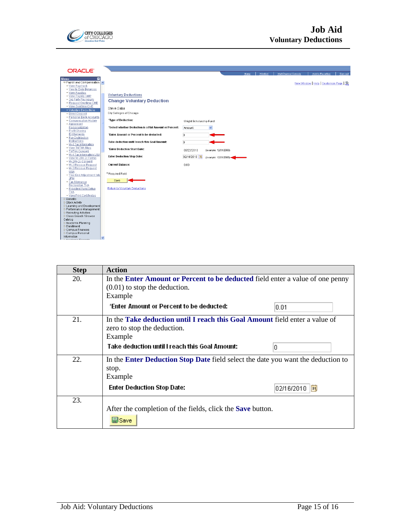

| ORACLE <sup>®</sup>                                        |                                                        |                         |                         |      |          |                      |                                      |          |
|------------------------------------------------------------|--------------------------------------------------------|-------------------------|-------------------------|------|----------|----------------------|--------------------------------------|----------|
|                                                            |                                                        |                         |                         | Home | Worklist | MultiChannel Console | Add to Favorites                     | Sign out |
| Menu                                                       |                                                        |                         |                         |      |          |                      |                                      |          |
| ▽ Payroll and Compensation<br>- View Paycheck              |                                                        |                         |                         |      |          |                      | New Window Help   Customize Page   風 |          |
| - Year to Date Balances                                    |                                                        |                         |                         |      |          |                      |                                      |          |
| - View Payslips<br>- View Payslip GBR                      | <b>Voluntary Deductions</b>                            |                         |                         |      |          |                      |                                      |          |
| - 3rd Party Pay Inquiry                                    | <b>Change Voluntary Deduction</b>                      |                         |                         |      |          |                      |                                      |          |
| - Request Overtime CHE                                     |                                                        |                         |                         |      |          |                      |                                      |          |
| - View Overtime CHE<br>- Voluntary Deductions              | Steve Saba                                             |                         |                         |      |          |                      |                                      |          |
| - Direct Deposit                                           | City Colleges of Chicago                               |                         |                         |      |          |                      |                                      |          |
| - Personal Bank Accounts<br>- Compensation History         | 'Type of Deduction:                                    |                         |                         |      |          |                      |                                      |          |
| - Agreement                                                |                                                        | Wright Scholarship Fund |                         |      |          |                      |                                      |          |
| Personalization                                            | 'Select whether Deduction is a Flat Amount or Percent: | Amount                  | $\checkmark$            |      |          |                      |                                      |          |
| - Profit-Sharing<br>Entitlements                           | 'Enter Amount or Percent to be deducted:               | o                       |                         |      |          |                      |                                      |          |
| - Pay Distribution                                         |                                                        |                         |                         |      |          |                      |                                      |          |
| Instructions<br>- W-4 Tax Information                      | Take deduction until I reach this Goal Amount:         | ١o                      |                         |      |          |                      |                                      |          |
| - View T4/T4A Slips                                        | 'Enter Deduction Start Date:                           |                         |                         |      |          |                      |                                      |          |
| - T4/T4A Consent<br>- W-4 Tax Information USA              |                                                        | 03/22/2010              | (example: 12/31/2000)   |      |          |                      |                                      |          |
| - View VV-2/W-2c Forms                                     | <b>Enter Deduction Stop Date:</b>                      | 02/16/2010              | (example: 12/31/2000) - |      |          |                      |                                      |          |
| - W-2AV-2c Consent                                         |                                                        |                         |                         |      |          |                      |                                      |          |
| - W-2 Reissue Request<br>-W-2 Reissue Request              | <b>Current Balance:</b>                                | 0.00                    |                         |      |          |                      |                                      |          |
| <b>USA</b>                                                 | * Required Field                                       |                         |                         |      |          |                      |                                      |          |
| - Year End Adjustment Info<br><b>JPN</b>                   |                                                        |                         |                         |      |          |                      |                                      |          |
| - Tax Allowance                                            | Save                                                   |                         |                         |      |          |                      |                                      |          |
| <b>Declaration THA</b><br>- Provident Fund Setup           | Return to Voluntary Deductions                         |                         |                         |      |          |                      |                                      |          |
| THA                                                        |                                                        |                         |                         |      |          |                      |                                      |          |
| - View/Print Certificates                                  |                                                        |                         |                         |      |          |                      |                                      |          |
| <b>D</b> Benefits<br>D Stock Activity                      |                                                        |                         |                         |      |          |                      |                                      |          |
| D Learning and Development                                 |                                                        |                         |                         |      |          |                      |                                      |          |
| D Performance Management<br><b>D</b> Recruiting Activities |                                                        |                         |                         |      |          |                      |                                      |          |
| D Class Search / Browse                                    |                                                        |                         |                         |      |          |                      |                                      |          |
| Catalog<br>D Academic Planning                             |                                                        |                         |                         |      |          |                      |                                      |          |
| <b>D</b> Enrollment                                        |                                                        |                         |                         |      |          |                      |                                      |          |
| D Campus Finances                                          |                                                        |                         |                         |      |          |                      |                                      |          |
| Campus Personal<br>Information                             |                                                        |                         |                         |      |          |                      |                                      |          |
| <b>N. Boodemic Decembe</b>                                 | $\ddot{\phantom{1}}$                                   |                         |                         |      |          |                      |                                      |          |

| <b>Step</b> | <b>Action</b>                                                                                              |                  |  |  |
|-------------|------------------------------------------------------------------------------------------------------------|------------------|--|--|
| 20.         | In the Enter Amount or Percent to be deducted field enter a value of one penny                             |                  |  |  |
|             | $(0.01)$ to stop the deduction.                                                                            |                  |  |  |
|             | Example                                                                                                    |                  |  |  |
|             | *Enter Amount or Percent to be deducted:                                                                   | 0.01             |  |  |
| 21.         | In the Take deduction until I reach this Goal Amount field enter a value of<br>zero to stop the deduction. |                  |  |  |
|             | Example                                                                                                    |                  |  |  |
|             | Take deduction until I reach this Goal Amount:                                                             | n                |  |  |
| 22.         | In the <b>Enter Deduction Stop Date</b> field select the date you want the deduction to                    |                  |  |  |
|             | stop.                                                                                                      |                  |  |  |
|             | Example                                                                                                    |                  |  |  |
|             | Enter Deduction Stop Date:                                                                                 | 02/16/2010<br>BU |  |  |
| 23.         |                                                                                                            |                  |  |  |
|             | After the completion of the fields, click the <b>Save</b> button.                                          |                  |  |  |
|             | 團Save                                                                                                      |                  |  |  |